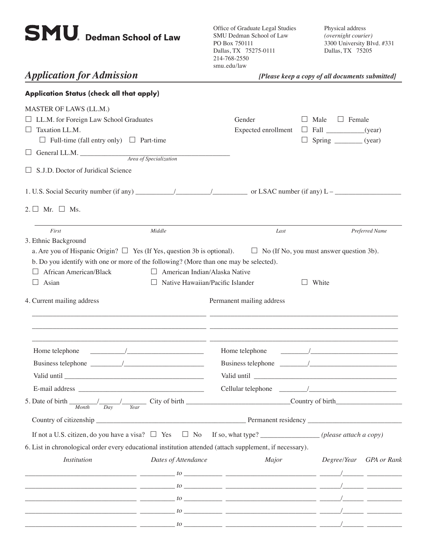# **SMU.** Dedman School of Law

Office of Graduate Legal Studies SMU Dedman School of Law PO Box 750111 Dallas, TX 75275-0111 214-768-2550 smu.edu/law

Physical address *(overnight courier)* 3300 University Blvd. #331 Dallas, TX 75205

*Application for Admission [Please keep a copy of all documents submitted]* 

| Application Status (check all that apply)                                                                                                                                                                                                                            |                                                                                                                                                                                                                                                                                                                     |                               |                 |                                                   |                         |  |  |  |  |
|----------------------------------------------------------------------------------------------------------------------------------------------------------------------------------------------------------------------------------------------------------------------|---------------------------------------------------------------------------------------------------------------------------------------------------------------------------------------------------------------------------------------------------------------------------------------------------------------------|-------------------------------|-----------------|---------------------------------------------------|-------------------------|--|--|--|--|
| MASTER OF LAWS (LL.M.)<br>□ LL.M. for Foreign Law School Graduates<br>$\Box$ Taxation LL.M.                                                                                                                                                                          |                                                                                                                                                                                                                                                                                                                     | Gender<br>Expected enrollment | Male<br>$\perp$ | $\Box$ Female<br>$\Box$ Fall ______________(year) |                         |  |  |  |  |
| $\Box$ Full-time (fall entry only) $\Box$ Part-time                                                                                                                                                                                                                  |                                                                                                                                                                                                                                                                                                                     |                               |                 |                                                   |                         |  |  |  |  |
| $\Box$ General LL.M. $\Box$ Area of Specialization                                                                                                                                                                                                                   |                                                                                                                                                                                                                                                                                                                     |                               |                 |                                                   |                         |  |  |  |  |
| $\Box$ S.J.D. Doctor of Juridical Science                                                                                                                                                                                                                            |                                                                                                                                                                                                                                                                                                                     |                               |                 |                                                   |                         |  |  |  |  |
|                                                                                                                                                                                                                                                                      |                                                                                                                                                                                                                                                                                                                     |                               |                 |                                                   |                         |  |  |  |  |
| $2. \Box$ Mr. $\Box$ Ms.                                                                                                                                                                                                                                             |                                                                                                                                                                                                                                                                                                                     |                               |                 |                                                   |                         |  |  |  |  |
| First                                                                                                                                                                                                                                                                | Middle                                                                                                                                                                                                                                                                                                              | Last                          |                 |                                                   | Preferred Name          |  |  |  |  |
| a. Are you of Hispanic Origin? $\Box$ Yes (If Yes, question 3b is optional). $\Box$ No (If No, you must answer question 3b).<br>b. Do you identify with one or more of the following? (More than one may be selected).<br>African American/Black<br>Asian<br>ப       | $\Box$ American Indian/Alaska Native<br>Native Hawaiian/Pacific Islander<br>$\Box$                                                                                                                                                                                                                                  |                               | White           |                                                   |                         |  |  |  |  |
|                                                                                                                                                                                                                                                                      |                                                                                                                                                                                                                                                                                                                     |                               |                 |                                                   |                         |  |  |  |  |
| Home telephone                                                                                                                                                                                                                                                       |                                                                                                                                                                                                                                                                                                                     |                               |                 |                                                   |                         |  |  |  |  |
|                                                                                                                                                                                                                                                                      |                                                                                                                                                                                                                                                                                                                     |                               |                 |                                                   |                         |  |  |  |  |
|                                                                                                                                                                                                                                                                      |                                                                                                                                                                                                                                                                                                                     |                               |                 |                                                   |                         |  |  |  |  |
|                                                                                                                                                                                                                                                                      |                                                                                                                                                                                                                                                                                                                     |                               |                 |                                                   |                         |  |  |  |  |
| 5. Date of birth _<br>Month<br>Day                                                                                                                                                                                                                                   | <u>______/___/____</u> City of birth ________________________________Country of birth<br>Year                                                                                                                                                                                                                       |                               |                 |                                                   |                         |  |  |  |  |
|                                                                                                                                                                                                                                                                      |                                                                                                                                                                                                                                                                                                                     |                               |                 |                                                   |                         |  |  |  |  |
| If not a U.S. citizen, do you have a visa? $\square$ Yes $\square$ No If so, what type? ______________(please attach a copy)                                                                                                                                         |                                                                                                                                                                                                                                                                                                                     |                               |                 |                                                   |                         |  |  |  |  |
| 6. List in chronological order every educational institution attended (attach supplement, if necessary).                                                                                                                                                             |                                                                                                                                                                                                                                                                                                                     |                               |                 |                                                   |                         |  |  |  |  |
| <b>Institution</b>                                                                                                                                                                                                                                                   | Dates of Attendance                                                                                                                                                                                                                                                                                                 | Major                         |                 |                                                   | Degree/Year GPA or Rank |  |  |  |  |
|                                                                                                                                                                                                                                                                      | $\frac{1}{2}$ to $\frac{1}{2}$ . The set of $\frac{1}{2}$ is the set of $\frac{1}{2}$ is the set of $\frac{1}{2}$ . The set of $\frac{1}{2}$ is the set of $\frac{1}{2}$ is the set of $\frac{1}{2}$ is the set of $\frac{1}{2}$ is the set of $\frac{1}{2}$ is the s                                               |                               |                 |                                                   |                         |  |  |  |  |
|                                                                                                                                                                                                                                                                      |                                                                                                                                                                                                                                                                                                                     |                               |                 |                                                   |                         |  |  |  |  |
|                                                                                                                                                                                                                                                                      |                                                                                                                                                                                                                                                                                                                     |                               |                 |                                                   |                         |  |  |  |  |
| $\frac{1}{2}$ to $\frac{1}{2}$ . The set of $\frac{1}{2}$ is the set of $\frac{1}{2}$ is the set of $\frac{1}{2}$ is the set of $\frac{1}{2}$ is the set of $\frac{1}{2}$ is the set of $\frac{1}{2}$ is the set of $\frac{1}{2}$ is the set of $\frac{1}{2}$ is the |                                                                                                                                                                                                                                                                                                                     |                               |                 |                                                   |                         |  |  |  |  |
|                                                                                                                                                                                                                                                                      | $\frac{1}{2}$ $\frac{1}{2}$ $\frac{1}{2}$ $\frac{1}{2}$ $\frac{1}{2}$ $\frac{1}{2}$ $\frac{1}{2}$ $\frac{1}{2}$ $\frac{1}{2}$ $\frac{1}{2}$ $\frac{1}{2}$ $\frac{1}{2}$ $\frac{1}{2}$ $\frac{1}{2}$ $\frac{1}{2}$ $\frac{1}{2}$ $\frac{1}{2}$ $\frac{1}{2}$ $\frac{1}{2}$ $\frac{1}{2}$ $\frac{1}{2}$ $\frac{1}{2}$ |                               |                 |                                                   |                         |  |  |  |  |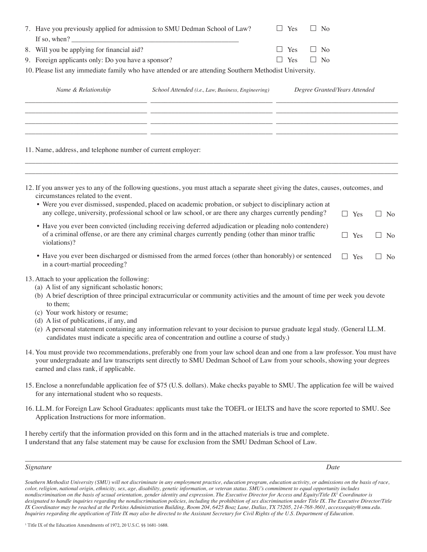|  | 7. Have you previously applied for admission to SMU Dedman School of Law?<br>If so, when? $\overline{\phantom{a}}$<br>8. Will you be applying for financial aid?                             |                                                                                                                                                                                                                                                                                                                                                            |                               | Yes<br>No |         |                |         |            |           |  |  |
|--|----------------------------------------------------------------------------------------------------------------------------------------------------------------------------------------------|------------------------------------------------------------------------------------------------------------------------------------------------------------------------------------------------------------------------------------------------------------------------------------------------------------------------------------------------------------|-------------------------------|-----------|---------|----------------|---------|------------|-----------|--|--|
|  |                                                                                                                                                                                              |                                                                                                                                                                                                                                                                                                                                                            |                               | Yes       | $\Box$  | N <sub>o</sub> |         |            |           |  |  |
|  | 9. Foreign applicants only: Do you have a sponsor?                                                                                                                                           |                                                                                                                                                                                                                                                                                                                                                            |                               | Yes       | $\perp$ | N <sub>o</sub> |         |            |           |  |  |
|  |                                                                                                                                                                                              | 10. Please list any immediate family who have attended or are attending Southern Methodist University.                                                                                                                                                                                                                                                     |                               |           |         |                |         |            |           |  |  |
|  | Name & Relationship                                                                                                                                                                          | School Attended (i.e., Law, Business, Engineering)                                                                                                                                                                                                                                                                                                         | Degree Granted/Years Attended |           |         |                |         |            |           |  |  |
|  | 11. Name, address, and telephone number of current employer:                                                                                                                                 | <u> 1989 - John Stone, amerikansk politiker (d. 1989)</u>                                                                                                                                                                                                                                                                                                  |                               |           |         |                |         |            |           |  |  |
|  | circumstances related to the event.                                                                                                                                                          | 12. If you answer yes to any of the following questions, you must attach a separate sheet giving the dates, causes, outcomes, and<br>• Were you ever dismissed, suspended, placed on academic probation, or subject to disciplinary action at<br>any college, university, professional school or law school, or are there any charges currently pending?   |                               |           |         |                | $\Box$  | Yes        | $\Box$ No |  |  |
|  | violations)?                                                                                                                                                                                 | • Have you ever been convicted (including receiving deferred adjudication or pleading nolo contendere)<br>of a criminal offense, or are there any criminal charges currently pending (other than minor traffic                                                                                                                                             |                               |           |         |                | $\perp$ | Yes        | $\Box$ No |  |  |
|  | in a court-martial proceeding?                                                                                                                                                               | • Have you ever been discharged or dismissed from the armed forces (other than honorably) or sentenced                                                                                                                                                                                                                                                     |                               |           |         |                |         | $\Box$ Yes | $\Box$ No |  |  |
|  | 13. Attach to your application the following:<br>(a) A list of any significant scholastic honors;<br>to them;<br>(c) Your work history or resume;<br>(d) A list of publications, if any, and | (b) A brief description of three principal extracurricular or community activities and the amount of time per week you devote<br>(e) A personal statement containing any information relevant to your decision to pursue graduate legal study. (General LL.M.<br>candidates must indicate a specific area of concentration and outline a course of study.) |                               |           |         |                |         |            |           |  |  |
|  | earned and class rank, if applicable.                                                                                                                                                        | 14. You must provide two recommendations, preferably one from your law school dean and one from a law professor. You must have<br>your undergraduate and law transcripts sent directly to SMU Dedman School of Law from your schools, showing your degrees                                                                                                 |                               |           |         |                |         |            |           |  |  |
|  | for any international student who so requests.                                                                                                                                               | 15. Enclose a nonrefundable application fee of \$75 (U.S. dollars). Make checks payable to SMU. The application fee will be waived                                                                                                                                                                                                                         |                               |           |         |                |         |            |           |  |  |

16. LL.M. for Foreign Law School Graduates: applicants must take the TOEFL or IELTS and have the score reported to SMU. See Application Instructions for more information.

I hereby certify that the information provided on this form and in the attached materials is true and complete. I understand that any false statement may be cause for exclusion from the SMU Dedman School of Law.

#### *Signature Date*

*Southern Methodist University (SMU) will not discriminate in any employment practice, education program, education activity, or admissions on the basis of race, color, religion, national origin, ethnicity, sex, age, disability, genetic information, or veteran status. SMU's commitment to equal opportunity includes nondiscrimination on the basis of sexual orientation, gender identity and expression. The Executive Director for Access and Equity/Title IX<sup>1</sup> Coordinator is designated to handle inquiries regarding the nondiscrimination policies, including the prohibition of sex discrimination under Title IX. The Executive Director/Title IX Coordinator may be reached at the Perkins Administration Building, Room 204, 6425 Boaz Lane, Dallas, TX 75205, 214-768-3601, accessequity@smu.edu. Inquiries regarding the application of Title IX may also be directed to the Assistant Secretary for Civil Rights of the U.S. Department of Education.*